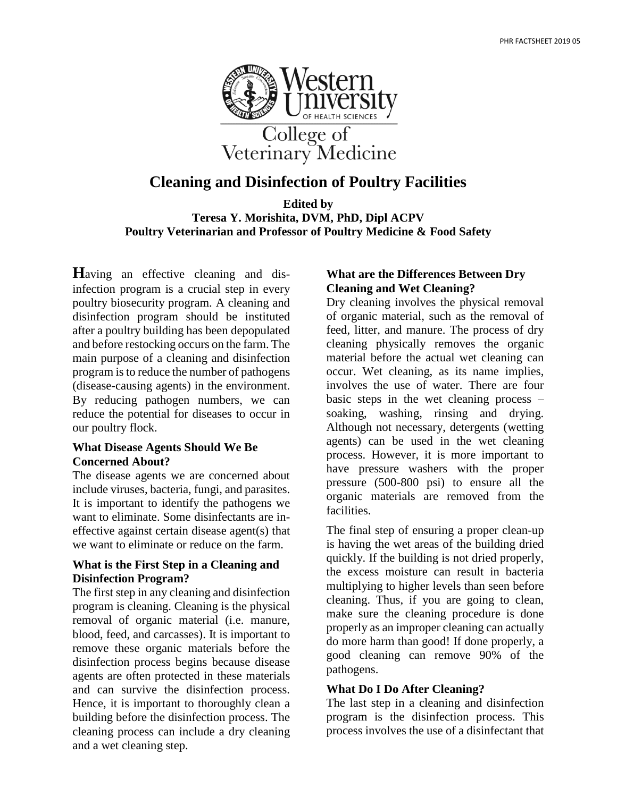

# **Cleaning and Disinfection of Poultry Facilities**

**Edited by Teresa Y. Morishita, DVM, PhD, Dipl ACPV Poultry Veterinarian and Professor of Poultry Medicine & Food Safety**

**H**aving an effective cleaning and disinfection program is a crucial step in every poultry biosecurity program. A cleaning and disinfection program should be instituted after a poultry building has been depopulated and before restocking occurs on the farm. The main purpose of a cleaning and disinfection program is to reduce the number of pathogens (disease-causing agents) in the environment. By reducing pathogen numbers, we can reduce the potential for diseases to occur in our poultry flock.

#### **What Disease Agents Should We Be Concerned About?**

The disease agents we are concerned about include viruses, bacteria, fungi, and parasites. It is important to identify the pathogens we want to eliminate. Some disinfectants are ineffective against certain disease agent(s) that we want to eliminate or reduce on the farm.

#### **What is the First Step in a Cleaning and Disinfection Program?**

The first step in any cleaning and disinfection program is cleaning. Cleaning is the physical removal of organic material (i.e. manure, blood, feed, and carcasses). It is important to remove these organic materials before the disinfection process begins because disease agents are often protected in these materials and can survive the disinfection process. Hence, it is important to thoroughly clean a building before the disinfection process. The cleaning process can include a dry cleaning and a wet cleaning step.

## **What are the Differences Between Dry Cleaning and Wet Cleaning?**

Dry cleaning involves the physical removal of organic material, such as the removal of feed, litter, and manure. The process of dry cleaning physically removes the organic material before the actual wet cleaning can occur. Wet cleaning, as its name implies, involves the use of water. There are four basic steps in the wet cleaning process – soaking, washing, rinsing and drying. Although not necessary, detergents (wetting agents) can be used in the wet cleaning process. However, it is more important to have pressure washers with the proper pressure (500-800 psi) to ensure all the organic materials are removed from the facilities.

The final step of ensuring a proper clean-up is having the wet areas of the building dried quickly. If the building is not dried properly, the excess moisture can result in bacteria multiplying to higher levels than seen before cleaning. Thus, if you are going to clean, make sure the cleaning procedure is done properly as an improper cleaning can actually do more harm than good! If done properly, a good cleaning can remove 90% of the pathogens.

## **What Do I Do After Cleaning?**

The last step in a cleaning and disinfection program is the disinfection process. This process involves the use of a disinfectant that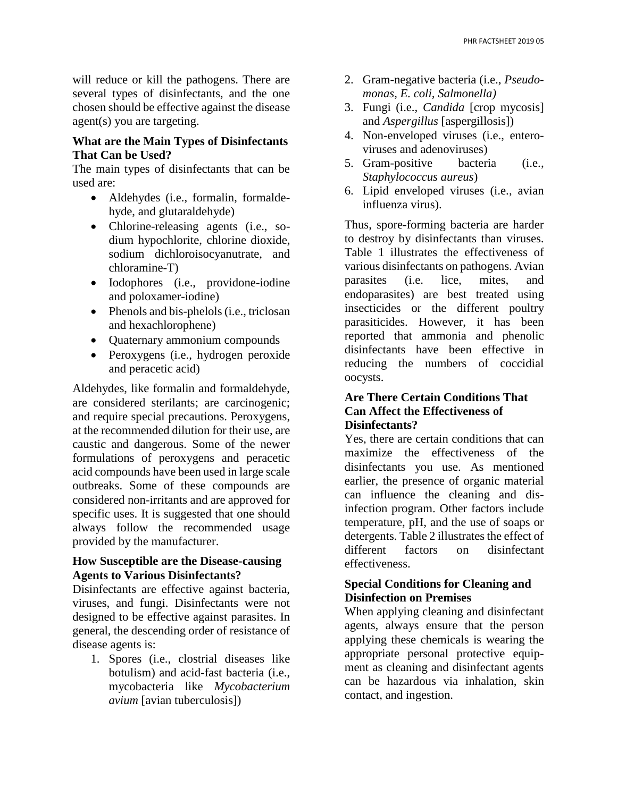will reduce or kill the pathogens. There are several types of disinfectants, and the one chosen should be effective against the disease agent(s) you are targeting.

#### **What are the Main Types of Disinfectants That Can be Used?**

The main types of disinfectants that can be used are:

- Aldehydes (i.e., formalin, formaldehyde, and glutaraldehyde)
- Chlorine-releasing agents (i.e., sodium hypochlorite, chlorine dioxide, sodium dichloroisocyanutrate, and chloramine-T)
- Iodophores (i.e., providone-iodine and poloxamer-iodine)
- Phenols and bis-phelols (i.e., triclosan and hexachlorophene)
- Quaternary ammonium compounds
- Peroxygens (i.e., hydrogen peroxide and peracetic acid)

Aldehydes, like formalin and formaldehyde, are considered sterilants; are carcinogenic; and require special precautions. Peroxygens, at the recommended dilution for their use, are caustic and dangerous. Some of the newer formulations of peroxygens and peracetic acid compounds have been used in large scale outbreaks. Some of these compounds are considered non-irritants and are approved for specific uses. It is suggested that one should always follow the recommended usage provided by the manufacturer.

#### **How Susceptible are the Disease-causing Agents to Various Disinfectants?**

Disinfectants are effective against bacteria, viruses, and fungi. Disinfectants were not designed to be effective against parasites. In general, the descending order of resistance of disease agents is:

1. Spores (i.e., clostrial diseases like botulism) and acid-fast bacteria (i.e., mycobacteria like *Mycobacterium avium* [avian tuberculosis])

- 2. Gram-negative bacteria (i.e., *Pseudomonas, E. coli, Salmonella)*
- 3. Fungi (i.e., *Candida* [crop mycosis] and *Aspergillus* [aspergillosis])
- 4. Non-enveloped viruses (i.e., enteroviruses and adenoviruses)
- 5. Gram-positive bacteria (i.e., *Staphylococcus aureus*)
- 6. Lipid enveloped viruses (i.e., avian influenza virus).

Thus, spore-forming bacteria are harder to destroy by disinfectants than viruses. Table 1 illustrates the effectiveness of various disinfectants on pathogens. Avian parasites (i.e. lice, mites, and endoparasites) are best treated using insecticides or the different poultry parasiticides. However, it has been reported that ammonia and phenolic disinfectants have been effective in reducing the numbers of coccidial oocysts.

### **Are There Certain Conditions That Can Affect the Effectiveness of Disinfectants?**

Yes, there are certain conditions that can maximize the effectiveness of the disinfectants you use. As mentioned earlier, the presence of organic material can influence the cleaning and disinfection program. Other factors include temperature, pH, and the use of soaps or detergents. Table 2 illustrates the effect of different factors on disinfectant effectiveness.

### **Special Conditions for Cleaning and Disinfection on Premises**

When applying cleaning and disinfectant agents, always ensure that the person applying these chemicals is wearing the appropriate personal protective equipment as cleaning and disinfectant agents can be hazardous via inhalation, skin contact, and ingestion.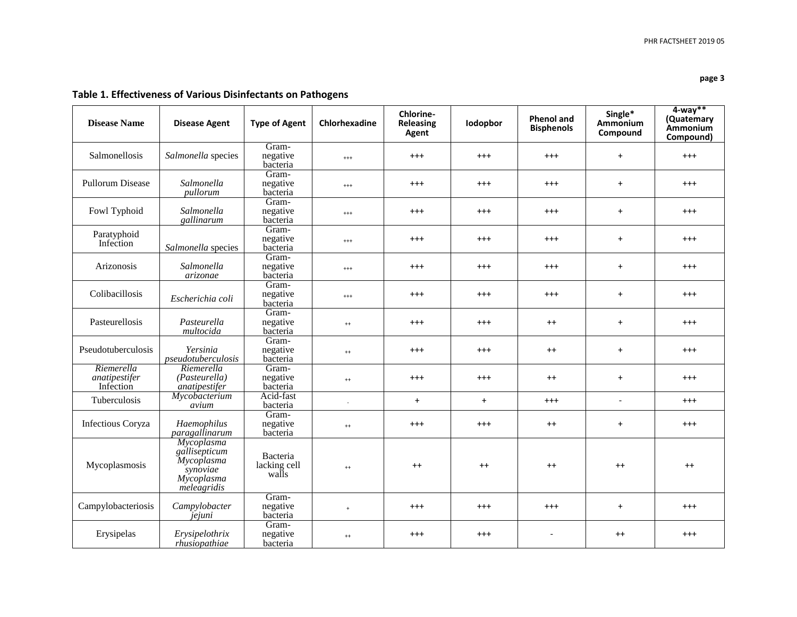| <b>Disease Name</b>                      | <b>Disease Agent</b>                                                               | <b>Type of Agent</b>              | Chlorhexadine            | Chlorine-<br><b>Releasing</b><br>Agent | lodopbor  | <b>Phenol and</b><br><b>Bisphenols</b> | Single*<br>Ammonium<br>Compound | $4$ -way**<br>(Quatemary<br>Ammonium<br>Compound) |
|------------------------------------------|------------------------------------------------------------------------------------|-----------------------------------|--------------------------|----------------------------------------|-----------|----------------------------------------|---------------------------------|---------------------------------------------------|
| Salmonellosis                            | Salmonella species                                                                 | Gram-<br>negative<br>bacteria     | $^{+++}$                 | $^{+++}$                               | $^{+++}$  | $^{+++}$                               | $+$                             | $^{+++}$                                          |
| <b>Pullorum Disease</b>                  | Salmonella<br>pullorum                                                             | Gram-<br>negative<br>bacteria     | $^{+++}$                 | $^{+++}$                               | $^{+++}$  | $^{+++}$                               | $+$                             | $^{+++}$                                          |
| Fowl Typhoid                             | Salmonella<br>gallinarum                                                           | Gram-<br>negative<br>bacteria     | $^{+++}$                 | $^{++}$                                | $^{+++}$  | $^{+++}$                               | $+$                             | $^{+++}$                                          |
| Paratyphoid<br>Infection                 | Salmonella species                                                                 | Gram-<br>negative<br>bacteria     | $^{+++}$                 | $^{+++}$                               | $^{+++}$  | $^{+++}$                               | $\ddot{}$                       | $^{+++}$                                          |
| Arizonosis                               | Salmonella<br>arizonae                                                             | Gram-<br>negative<br>bacteria     | $^{+++}$                 | $^{+++}$                               | $^{+++}$  | $^{+++}$                               | $+$                             | $^{+++}$                                          |
| Colibacillosis                           | Escherichia coli                                                                   | Gram-<br>negative<br>bacteria     | $^{+++}$                 | $^{++}$                                | $^{+++}$  | $^{+++}$                               | $+$                             | $^{+++}$                                          |
| Pasteurellosis                           | Pasteurella<br>multocida                                                           | Gram-<br>negative<br>bacteria     | $^{++}$                  | $^{+++}$                               | $^{+++}$  | $^{++}$                                | $\ddot{}$                       | $^{+++}$                                          |
| Pseudotuberculosis                       | Yersinia<br>pseudotuberculosis                                                     | Gram-<br>negative<br>bacteria     | $^{++}$                  | $^{++}$                                | $^{+++}$  | $^{++}$                                | $+$                             | $^{+++}$                                          |
| Riemerella<br>anatipestifer<br>Infection | Riemerella<br>(Pasteurella)<br>anatipestifer                                       | Gram-<br>negative<br>bacteria     | $^{++}$                  | $^{++}$                                | $^{+++}$  | $^{++}$                                | $+$                             | $^{+++}$                                          |
| Tuberculosis                             | Mycobacterium<br>avium                                                             | Acid-fast<br>bacteria             | $\overline{\phantom{a}}$ | $\ddot{}$                              | $\ddot{}$ | $^{+++}$                               | $\overline{a}$                  | $^{+++}$                                          |
| <b>Infectious Coryza</b>                 | Haemophilus<br>paragallinarum                                                      | Gram-<br>negative<br>bacteria     | $^{++}$                  | $^{+++}$                               | $^{+++}$  | $^{++}$                                | $\ddot{}$                       | $^{+++}$                                          |
| Mycoplasmosis                            | Mycoplasma<br>gallisepticum<br>Mycoplasma<br>synoviae<br>Mycoplasma<br>meleagridis | Bacteria<br>lacking cell<br>walls | $^{++}$                  | $++$                                   | $++$      | $++$                                   | $++$                            | $++$                                              |
| Campylobacteriosis                       | Campylobacter<br>jejuni                                                            | Gram-<br>negative<br>bacteria     | $+$                      | $^{++}$                                | $^{+++}$  | $^{+++}$                               | $+$                             | $^{+++}$                                          |
| Erysipelas                               | Erysipelothrix<br>rhusiopathiae                                                    | Gram-<br>negative<br>bacteria     | $^{++}$                  | $^{++}$                                | $^{+++}$  |                                        | $^{++}$                         | $^{+++}$                                          |

## **Table 1. Effectiveness of Various Disinfectants on Pathogens**

**page 3**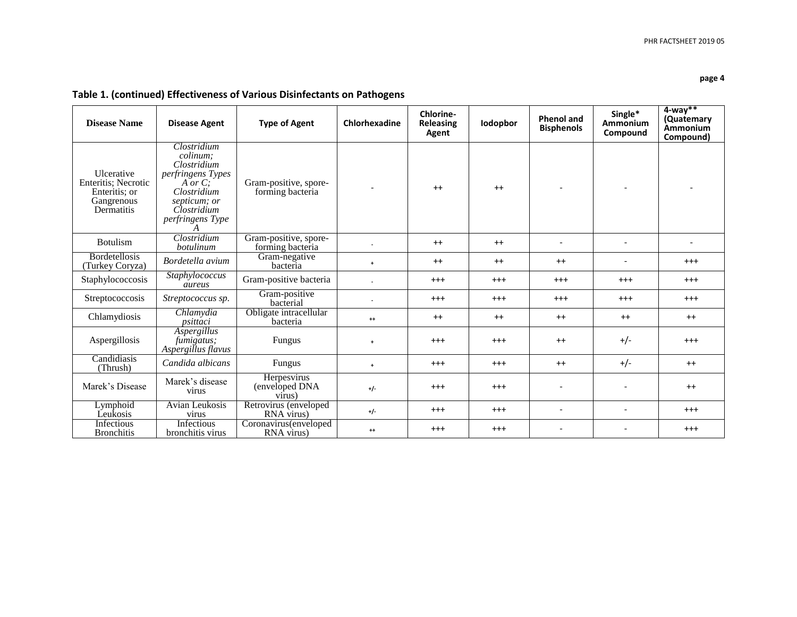#### **page 4**

## **Table 1. (continued) Effectiveness of Various Disinfectants on Pathogens**

| <b>Disease Name</b>                                                                   | <b>Disease Agent</b>                                                                                                                             | <b>Type of Agent</b>                      | Chlorhexadine                | Chlorine-<br><b>Releasing</b><br>Agent | lodopbor | <b>Phenol and</b><br><b>Bisphenols</b> | Single*<br>Ammonium<br>Compound | $4$ -wav**<br>(Quatemary<br>Ammonium<br>Compound) |
|---------------------------------------------------------------------------------------|--------------------------------------------------------------------------------------------------------------------------------------------------|-------------------------------------------|------------------------------|----------------------------------------|----------|----------------------------------------|---------------------------------|---------------------------------------------------|
| <b>Ulcerative</b><br>Enteritis; Necrotic<br>Enteritis; or<br>Gangrenous<br>Dermatitis | Clostridium<br>colinum:<br>Clostridium<br>perfringens Types<br>A or $C$ :<br>Clostridium<br>septicum; or<br>Clostridium<br>perfringens Type<br>A | Gram-positive, spore-<br>forming bacteria | $\qquad \qquad \blacksquare$ | $^{++}$                                | $++$     |                                        |                                 |                                                   |
| <b>Botulism</b>                                                                       | Clostridium<br>botulinum                                                                                                                         | Gram-positive, spore-<br>forming bacteria |                              | $++$                                   | $++$     |                                        | $\overline{a}$                  |                                                   |
| <b>Bordetellosis</b><br>(Turkey Coryza)                                               | Bordetella avium                                                                                                                                 | Gram-negative<br>bacteria                 | $\ddot{}$                    | $++$                                   | $++$     | $++$                                   | $\overline{\phantom{0}}$        | $+++$                                             |
| Staphylococcosis                                                                      | Staphylococcus<br>aureus                                                                                                                         | Gram-positive bacteria                    | $\blacksquare$               | $+++$                                  | $^{+++}$ | $^{+++}$                               | $+++$                           | $+++$                                             |
| Streptococcosis                                                                       | Streptococcus sp.                                                                                                                                | Gram-positive<br>bacterial                |                              | $^{+++}$                               | $^{+++}$ | $^{+++}$                               | $^{++}$                         | $+++$                                             |
| Chlamydiosis                                                                          | Chlamydia<br>psittaci                                                                                                                            | Obligate intracellular<br>bacteria        | $^{++}$                      | $++$                                   | $++$     | $^{++}$                                | $++$                            | $++$                                              |
| Aspergillosis                                                                         | Aspergillus<br>fumigatus;<br>Aspergillus flavus                                                                                                  | Fungus                                    | $\ddot{}$                    | $+++$                                  | $^{+++}$ | $++$                                   | $+/-$                           | $+++$                                             |
| Candidiasis<br>(Thrush)                                                               | Candida albicans                                                                                                                                 | Fungus                                    | $\ddot{}$                    | $+++$                                  | $^{+++}$ | $++$                                   | $+/-$                           | $++$                                              |
| Marek's Disease                                                                       | Marek's disease<br>virus                                                                                                                         | Herpesvirus<br>(enveloped DNA<br>virus)   | $+/-$                        | $+++$                                  | $^{+++}$ |                                        | $\overline{\phantom{a}}$        | $++$                                              |
| Lymphoid<br>Leukosis                                                                  | Avian Leukosis<br>virus                                                                                                                          | Retrovirus (enveloped<br>RNA virus)       | $+/-$                        | $^{+++}$                               | $^{+++}$ | $\overline{\phantom{a}}$               | $\overline{\phantom{a}}$        | $^{+++}$                                          |
| Infectious<br><b>Bronchitis</b>                                                       | Infectious<br>bronchitis virus                                                                                                                   | Coronavirus(enveloped<br>RNA virus)       | $^{++}$                      | $^{+++}$                               | $^{+++}$ |                                        |                                 | $^{+++}$                                          |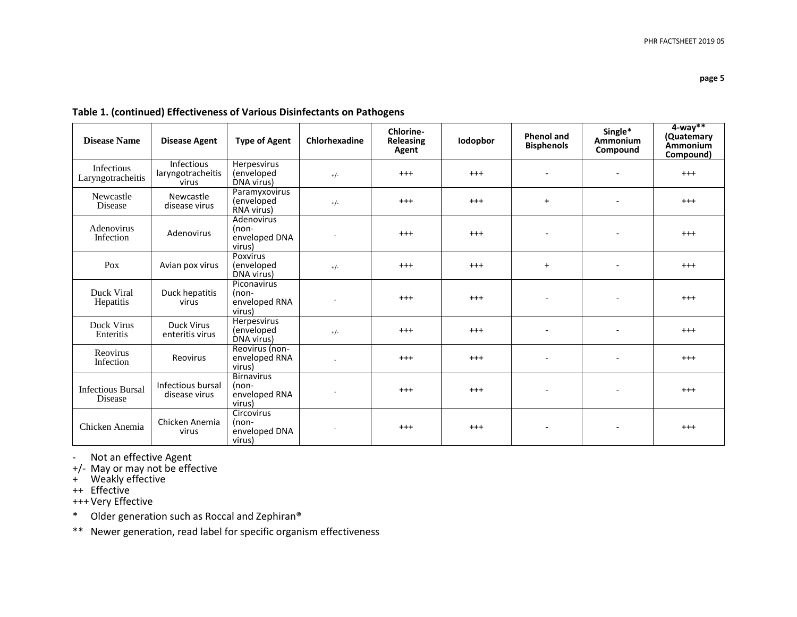|  |  | Table 1. (continued) Effectiveness of Various Disinfectants on Pathogens |  |
|--|--|--------------------------------------------------------------------------|--|
|--|--|--------------------------------------------------------------------------|--|

| <b>Disease Name</b>                 | <b>Disease Agent</b>                            | <b>Type of Agent</b>                                  | Chlorhexadine | Chlorine-<br><b>Releasing</b><br>Agent | <b>Iodopbor</b> | <b>Phenol and</b><br><b>Bisphenols</b> | Single*<br>Ammonium<br>Compound | $4$ -way**<br>(Quatemary<br>Ammonium<br>Compound) |
|-------------------------------------|-------------------------------------------------|-------------------------------------------------------|---------------|----------------------------------------|-----------------|----------------------------------------|---------------------------------|---------------------------------------------------|
| Infectious<br>Laryngotracheitis     | <b>Infectious</b><br>laryngotracheitis<br>virus | Herpesvirus<br>(enveloped<br>DNA virus)               | $+/-$         | $^{+++}$                               | $^{+++}$        | $\overline{a}$                         | $\overline{\phantom{a}}$        | $^{+++}$                                          |
| Newcastle<br><b>Disease</b>         | Newcastle<br>disease virus                      | Paramyxovirus<br>(enveloped<br>RNA virus)             | $+/-$         | $+++$                                  | $^{+++}$        | $\ddot{}$                              | $\overline{\phantom{a}}$        | $+++$                                             |
| Adenovirus<br>Infection             | Adenovirus                                      | Adenovirus<br>$Inon-$<br>enveloped DNA<br>virus)      |               | $+++$                                  | $^{+++}$        | $\blacksquare$                         | $\overline{\phantom{a}}$        | $+++$                                             |
| Pox                                 | Avian pox virus                                 | Poxvirus<br>(enveloped<br>DNA virus)                  | $+/-$         | $^{+++}$                               | $^{+++}$        | $+$                                    | $\overline{\phantom{a}}$        | $^{+++}$                                          |
| Duck Viral<br>Hepatitis             | Duck hepatitis<br>virus                         | Piconavirus<br>(non-<br>enveloped RNA<br>virus)       |               | $^{+++}$                               | $^{+++}$        | $\overline{\phantom{a}}$               | $\overline{\phantom{a}}$        | $^{+++}$                                          |
| Duck Virus<br>Enteritis             | <b>Duck Virus</b><br>enteritis virus            | Herpesvirus<br>(enveloped<br>DNA virus)               | $+/-$         | $^{+++}$                               | $^{+++}$        |                                        |                                 | $^{+++}$                                          |
| <b>Reovirus</b><br>Infection        | Reovirus                                        | Reovirus (non-<br>enveloped RNA<br>virus)             |               | $+++$                                  | $^{+++}$        | $\overline{\phantom{0}}$               | $\overline{\phantom{a}}$        | $^{+++}$                                          |
| <b>Infectious Bursal</b><br>Disease | Infectious bursal<br>disease virus              | <b>Birnavirus</b><br>(non-<br>enveloped RNA<br>virus) |               | $+++$                                  | $^{+++}$        | $\overline{\phantom{0}}$               | $\overline{\phantom{a}}$        | $^{+++}$                                          |
| Chicken Anemia                      | Chicken Anemia<br>virus                         | Circovirus<br>(non-<br>enveloped DNA<br>virus)        |               | $+++$                                  | $^{+++}$        | $\qquad \qquad \blacksquare$           | $\overline{\phantom{a}}$        | $^{+++}$                                          |

- Not an effective Agent

+/- May or may not be effective

+ Weakly effective

++ Effective

+++Very Effective

\* Older generation such as Roccal and Zephiran®

\*\* Newer generation, read label for specific organism effectiveness